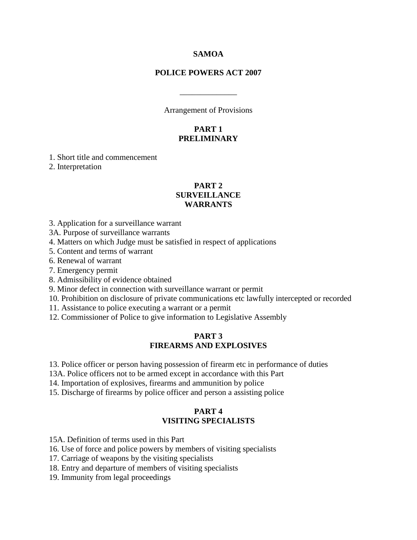#### **SAMOA**

### **POLICE POWERS ACT 2007**

Arrangement of Provisions

\_\_\_\_\_\_\_\_\_\_\_\_\_\_

### **PART 1 PRELIMINARY**

1. Short title and commencement

2. Interpretation

## **PART 2 SURVEILLANCE WARRANTS**

3. Application for a surveillance warrant

3A. Purpose of surveillance warrants

4. Matters on which Judge must be satisfied in respect of applications

5. Content and terms of warrant

6. Renewal of warrant

7. Emergency permit

8. Admissibility of evidence obtained

9. Minor defect in connection with surveillance warrant or permit

10. Prohibition on disclosure of private communications etc lawfully intercepted or recorded

11. Assistance to police executing a warrant or a permit

12. Commissioner of Police to give information to Legislative Assembly

#### **PART 3 FIREARMS AND EXPLOSIVES**

13. Police officer or person having possession of firearm etc in performance of duties

13A. Police officers not to be armed except in accordance with this Part

14. Importation of explosives, firearms and ammunition by police

15. Discharge of firearms by police officer and person a assisting police

### **PART 4 VISITING SPECIALISTS**

15A. Definition of terms used in this Part

16. Use of force and police powers by members of visiting specialists

17. Carriage of weapons by the visiting specialists

18. Entry and departure of members of visiting specialists

19. Immunity from legal proceedings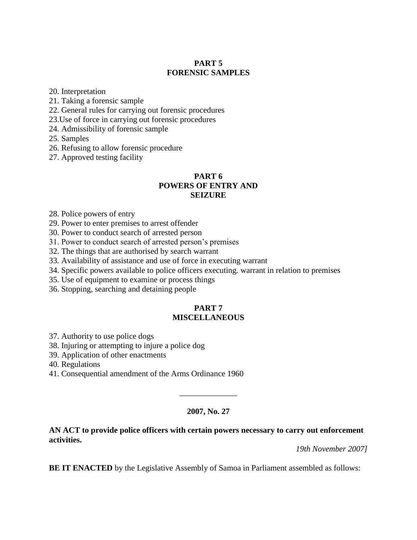# **PART 5 FORENSIC SAMPLES**

20. Interpretation

21. Taking a forensic sample

22. General rules for carrying out forensic procedures

23.Use of force in carrying out forensic procedures

24. Admissibility of forensic sample

25. Samples

26. Refusing to allow forensic procedure

27. Approved testing facility

### **PART 6 POWERS OF ENTRY AND SEIZURE**

28. Police powers of entry

29. Power to enter premises to arrest offender

30. Power to conduct search of arrested person

31. Power to conduct search of arrested person's premises

32. The things that are authorised by search warrant

33. Availability of assistance and use of force in executing warrant

34. Specific powers available to police officers executing. warrant in relation to premises

35. Use of equipment to examine or process things

36. Stopping, searching and detaining people

#### **PART 7 MISCELLANEOUS**

37. Authority to use police dogs

38. Injuring or attempting to injure a police dog

39. Application of other enactments

40. Regulations

41. Consequential amendment of the Arms Ordinance 1960

### **2007, No. 27**

\_\_\_\_\_\_\_\_\_\_\_\_\_\_

#### **AN ACT to provide police officers with certain powers necessary to carry out enforcement activities.**

*19th November 2007]* 

**BE IT ENACTED** by the Legislative Assembly of Samoa in Parliament assembled as follows: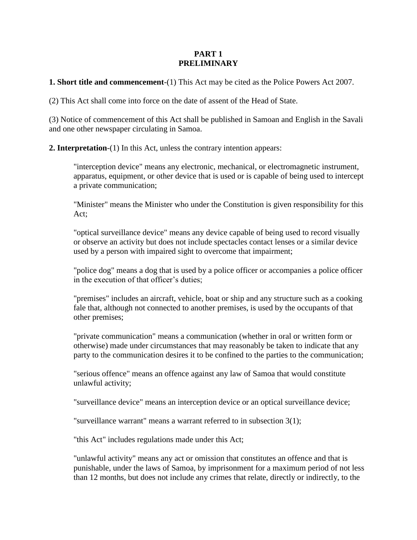### **PART 1 PRELIMINARY**

**1. Short title and commencement**-(1) This Act may be cited as the Police Powers Act 2007.

(2) This Act shall come into force on the date of assent of the Head of State.

(3) Notice of commencement of this Act shall be published in Samoan and English in the Savali and one other newspaper circulating in Samoa.

**2. Interpretation**-(1) In this Act, unless the contrary intention appears:

"interception device" means any electronic, mechanical, or electromagnetic instrument, apparatus, equipment, or other device that is used or is capable of being used to intercept a private communication;

"Minister" means the Minister who under the Constitution is given responsibility for this Act;

"optical surveillance device" means any device capable of being used to record visually or observe an activity but does not include spectacles contact lenses or a similar device used by a person with impaired sight to overcome that impairment;

"police dog" means a dog that is used by a police officer or accompanies a police officer in the execution of that officer's duties;

"premises" includes an aircraft, vehicle, boat or ship and any structure such as a cooking fale that, although not connected to another premises, is used by the occupants of that other premises;

"private communication" means a communication (whether in oral or written form or otherwise) made under circumstances that may reasonably be taken to indicate that any party to the communication desires it to be confined to the parties to the communication;

"serious offence" means an offence against any law of Samoa that would constitute unlawful activity;

"surveillance device" means an interception device or an optical surveillance device;

"surveillance warrant" means a warrant referred to in subsection 3(1);

"this Act" includes regulations made under this Act;

"unlawful activity" means any act or omission that constitutes an offence and that is punishable, under the laws of Samoa, by imprisonment for a maximum period of not less than 12 months, but does not include any crimes that relate, directly or indirectly, to the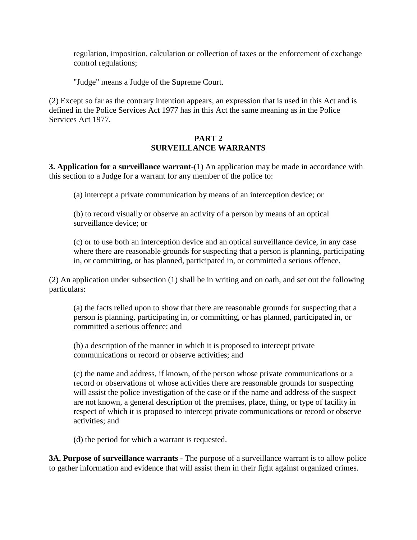regulation, imposition, calculation or collection of taxes or the enforcement of exchange control regulations;

"Judge" means a Judge of the Supreme Court.

(2) Except so far as the contrary intention appears, an expression that is used in this Act and is defined in the Police Services Act 1977 has in this Act the same meaning as in the Police Services Act 1977.

## **PART 2 SURVEILLANCE WARRANTS**

**3. Application for a surveillance warrant**-(1) An application may be made in accordance with this section to a Judge for a warrant for any member of the police to:

(a) intercept a private communication by means of an interception device; or

(b) to record visually or observe an activity of a person by means of an optical surveillance device; or

(c) or to use both an interception device and an optical surveillance device, in any case where there are reasonable grounds for suspecting that a person is planning, participating in, or committing, or has planned, participated in, or committed a serious offence.

(2) An application under subsection (1) shall be in writing and on oath, and set out the following particulars:

(a) the facts relied upon to show that there are reasonable grounds for suspecting that a person is planning, participating in, or committing, or has planned, participated in, or committed a serious offence; and

(b) a description of the manner in which it is proposed to intercept private communications or record or observe activities; and

(c) the name and address, if known, of the person whose private communications or a record or observations of whose activities there are reasonable grounds for suspecting will assist the police investigation of the case or if the name and address of the suspect are not known, a general description of the premises, place, thing, or type of facility in respect of which it is proposed to intercept private communications or record or observe activities; and

(d) the period for which a warrant is requested.

**3A. Purpose of surveillance warrants** - The purpose of a surveillance warrant is to allow police to gather information and evidence that will assist them in their fight against organized crimes.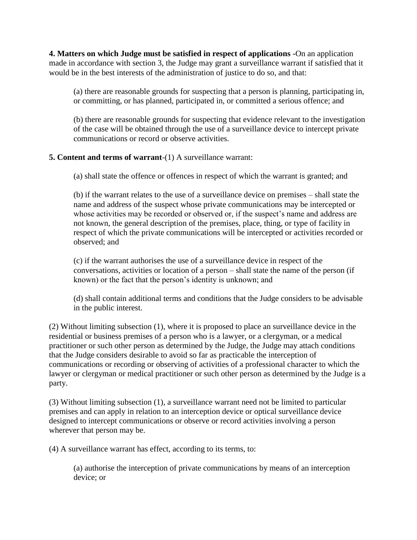**4. Matters on which Judge must be satisfied in respect of applications -**On an application made in accordance with section 3, the Judge may grant a surveillance warrant if satisfied that it would be in the best interests of the administration of justice to do so, and that:

(a) there are reasonable grounds for suspecting that a person is planning, participating in, or committing, or has planned, participated in, or committed a serious offence; and

(b) there are reasonable grounds for suspecting that evidence relevant to the investigation of the case will be obtained through the use of a surveillance device to intercept private communications or record or observe activities.

# **5. Content and terms of warrant**-(1) A surveillance warrant:

(a) shall state the offence or offences in respect of which the warrant is granted; and

(b) if the warrant relates to the use of a surveillance device on premises – shall state the name and address of the suspect whose private communications may be intercepted or whose activities may be recorded or observed or, if the suspect's name and address are not known, the general description of the premises, place, thing, or type of facility in respect of which the private communications will be intercepted or activities recorded or observed; and

(c) if the warrant authorises the use of a surveillance device in respect of the conversations, activities or location of a person – shall state the name of the person (if known) or the fact that the person's identity is unknown; and

(d) shall contain additional terms and conditions that the Judge considers to be advisable in the public interest.

(2) Without limiting subsection (1), where it is proposed to place an surveillance device in the residential or business premises of a person who is a lawyer, or a clergyman, or a medical practitioner or such other person as determined by the Judge, the Judge may attach conditions that the Judge considers desirable to avoid so far as practicable the interception of communications or recording or observing of activities of a professional character to which the lawyer or clergyman or medical practitioner or such other person as determined by the Judge is a party.

(3) Without limiting subsection (1), a surveillance warrant need not be limited to particular premises and can apply in relation to an interception device or optical surveillance device designed to intercept communications or observe or record activities involving a person wherever that person may be.

(4) A surveillance warrant has effect, according to its terms, to:

(a) authorise the interception of private communications by means of an interception device; or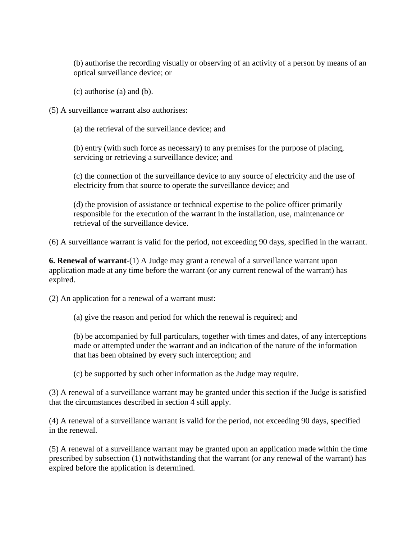(b) authorise the recording visually or observing of an activity of a person by means of an optical surveillance device; or

(c) authorise (a) and (b).

(5) A surveillance warrant also authorises:

(a) the retrieval of the surveillance device; and

(b) entry (with such force as necessary) to any premises for the purpose of placing, servicing or retrieving a surveillance device; and

(c) the connection of the surveillance device to any source of electricity and the use of electricity from that source to operate the surveillance device; and

(d) the provision of assistance or technical expertise to the police officer primarily responsible for the execution of the warrant in the installation, use, maintenance or retrieval of the surveillance device.

(6) A surveillance warrant is valid for the period, not exceeding 90 days, specified in the warrant.

**6. Renewal of warrant**-(1) A Judge may grant a renewal of a surveillance warrant upon application made at any time before the warrant (or any current renewal of the warrant) has expired.

(2) An application for a renewal of a warrant must:

(a) give the reason and period for which the renewal is required; and

(b) be accompanied by full particulars, together with times and dates, of any interceptions made or attempted under the warrant and an indication of the nature of the information that has been obtained by every such interception; and

(c) be supported by such other information as the Judge may require.

(3) A renewal of a surveillance warrant may be granted under this section if the Judge is satisfied that the circumstances described in section 4 still apply.

(4) A renewal of a surveillance warrant is valid for the period, not exceeding 90 days, specified in the renewal.

(5) A renewal of a surveillance warrant may be granted upon an application made within the time prescribed by subsection (1) notwithstanding that the warrant (or any renewal of the warrant) has expired before the application is determined.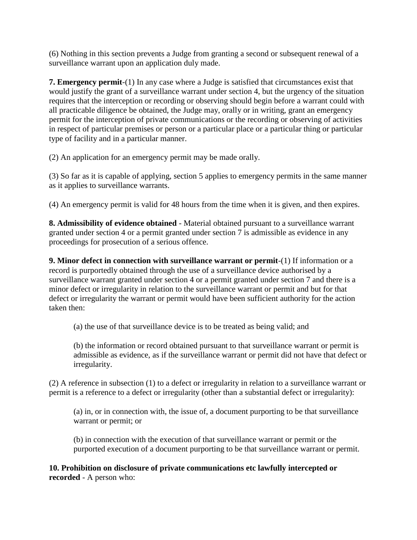(6) Nothing in this section prevents a Judge from granting a second or subsequent renewal of a surveillance warrant upon an application duly made.

**7. Emergency permit**-(1) In any case where a Judge is satisfied that circumstances exist that would justify the grant of a surveillance warrant under section 4, but the urgency of the situation requires that the interception or recording or observing should begin before a warrant could with all practicable diligence be obtained, the Judge may, orally or in writing, grant an emergency permit for the interception of private communications or the recording or observing of activities in respect of particular premises or person or a particular place or a particular thing or particular type of facility and in a particular manner.

(2) An application for an emergency permit may be made orally.

(3) So far as it is capable of applying, section 5 applies to emergency permits in the same manner as it applies to surveillance warrants.

(4) An emergency permit is valid for 48 hours from the time when it is given, and then expires.

**8. Admissibility of evidence obtained** - Material obtained pursuant to a surveillance warrant granted under section 4 or a permit granted under section 7 is admissible as evidence in any proceedings for prosecution of a serious offence.

**9. Minor defect in connection with surveillance warrant or permit**-(1) If information or a record is purportedly obtained through the use of a surveillance device authorised by a surveillance warrant granted under section 4 or a permit granted under section 7 and there is a minor defect or irregularity in relation to the surveillance warrant or permit and but for that defect or irregularity the warrant or permit would have been sufficient authority for the action taken then:

(a) the use of that surveillance device is to be treated as being valid; and

(b) the information or record obtained pursuant to that surveillance warrant or permit is admissible as evidence, as if the surveillance warrant or permit did not have that defect or irregularity.

(2) A reference in subsection (1) to a defect or irregularity in relation to a surveillance warrant or permit is a reference to a defect or irregularity (other than a substantial defect or irregularity):

(a) in, or in connection with, the issue of, a document purporting to be that surveillance warrant or permit; or

(b) in connection with the execution of that surveillance warrant or permit or the purported execution of a document purporting to be that surveillance warrant or permit.

**10. Prohibition on disclosure of private communications etc lawfully intercepted or recorded** - A person who: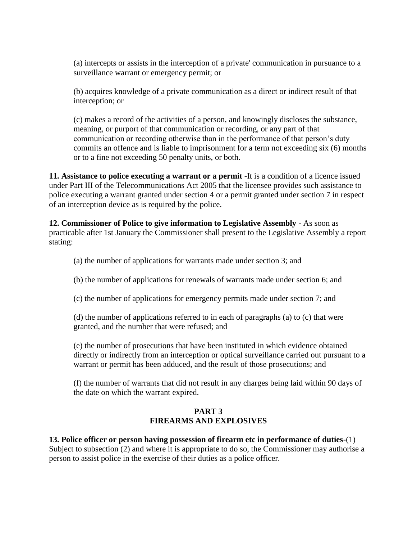(a) intercepts or assists in the interception of a private' communication in pursuance to a surveillance warrant or emergency permit; or

(b) acquires knowledge of a private communication as a direct or indirect result of that interception; or

(c) makes a record of the activities of a person, and knowingly discloses the substance, meaning, or purport of that communication or recording, or any part of that communication or recording otherwise than in the performance of that person's duty commits an offence and is liable to imprisonment for a term not exceeding six (6) months or to a fine not exceeding 50 penalty units, or both.

**11. Assistance to police executing a warrant or a permit** -It is a condition of a licence issued under Part III of the Telecommunications Act 2005 that the licensee provides such assistance to police executing a warrant granted under section 4 or a permit granted under section 7 in respect of an interception device as is required by the police.

**12. Commissioner of Police to give information to Legislative Assembly** - As soon as practicable after 1st January the Commissioner shall present to the Legislative Assembly a report stating:

(a) the number of applications for warrants made under section 3; and

(b) the number of applications for renewals of warrants made under section 6; and

(c) the number of applications for emergency permits made under section 7; and

(d) the number of applications referred to in each of paragraphs (a) to (c) that were granted, and the number that were refused; and

(e) the number of prosecutions that have been instituted in which evidence obtained directly or indirectly from an interception or optical surveillance carried out pursuant to a warrant or permit has been adduced, and the result of those prosecutions; and

(f) the number of warrants that did not result in any charges being laid within 90 days of the date on which the warrant expired.

# **PART 3 FIREARMS AND EXPLOSIVES**

**13. Police officer or person having possession of firearm etc in performance of duties**-(1) Subject to subsection (2) and where it is appropriate to do so, the Commissioner may authorise a person to assist police in the exercise of their duties as a police officer.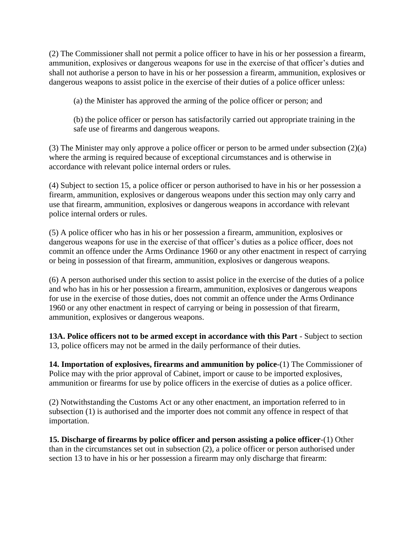(2) The Commissioner shall not permit a police officer to have in his or her possession a firearm, ammunition, explosives or dangerous weapons for use in the exercise of that officer's duties and shall not authorise a person to have in his or her possession a firearm, ammunition, explosives or dangerous weapons to assist police in the exercise of their duties of a police officer unless:

(a) the Minister has approved the arming of the police officer or person; and

(b) the police officer or person has satisfactorily carried out appropriate training in the safe use of firearms and dangerous weapons.

(3) The Minister may only approve a police officer or person to be armed under subsection (2)(a) where the arming is required because of exceptional circumstances and is otherwise in accordance with relevant police internal orders or rules.

(4) Subject to section 15, a police officer or person authorised to have in his or her possession a firearm, ammunition, explosives or dangerous weapons under this section may only carry and use that firearm, ammunition, explosives or dangerous weapons in accordance with relevant police internal orders or rules.

(5) A police officer who has in his or her possession a firearm, ammunition, explosives or dangerous weapons for use in the exercise of that officer's duties as a police officer, does not commit an offence under the Arms Ordinance 1960 or any other enactment in respect of carrying or being in possession of that firearm, ammunition, explosives or dangerous weapons.

(6) A person authorised under this section to assist police in the exercise of the duties of a police and who has in his or her possession a firearm, ammunition, explosives or dangerous weapons for use in the exercise of those duties, does not commit an offence under the Arms Ordinance 1960 or any other enactment in respect of carrying or being in possession of that firearm, ammunition, explosives or dangerous weapons.

**13A. Police officers not to be armed except in accordance with this Part** - Subject to section 13, police officers may not be armed in the daily performance of their duties.

**14. Importation of explosives, firearms and ammunition by police**-(1) The Commissioner of Police may with the prior approval of Cabinet, import or cause to be imported explosives, ammunition or firearms for use by police officers in the exercise of duties as a police officer.

(2) Notwithstanding the Customs Act or any other enactment, an importation referred to in subsection (1) is authorised and the importer does not commit any offence in respect of that importation.

**15. Discharge of firearms by police officer and person assisting a police officer**-(1) Other than in the circumstances set out in subsection (2), a police officer or person authorised under section 13 to have in his or her possession a firearm may only discharge that firearm: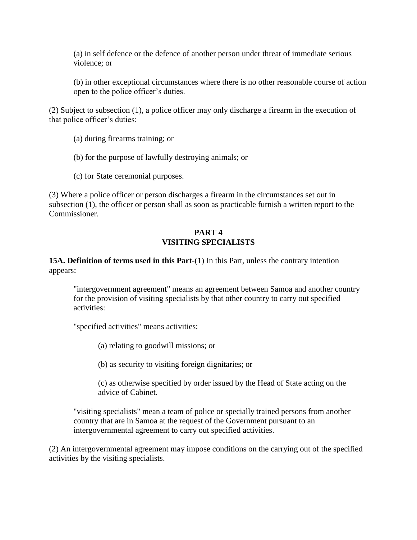(a) in self defence or the defence of another person under threat of immediate serious violence; or

(b) in other exceptional circumstances where there is no other reasonable course of action open to the police officer's duties.

(2) Subject to subsection (1), a police officer may only discharge a firearm in the execution of that police officer's duties:

(a) during firearms training; or

- (b) for the purpose of lawfully destroying animals; or
- (c) for State ceremonial purposes.

(3) Where a police officer or person discharges a firearm in the circumstances set out in subsection (1), the officer or person shall as soon as practicable furnish a written report to the Commissioner.

## **PART 4 VISITING SPECIALISTS**

# **15A. Definition of terms used in this Part**-(1) In this Part, unless the contrary intention appears:

"intergovernment agreement" means an agreement between Samoa and another country for the provision of visiting specialists by that other country to carry out specified activities:

"specified activities" means activities:

(a) relating to goodwill missions; or

(b) as security to visiting foreign dignitaries; or

(c) as otherwise specified by order issued by the Head of State acting on the advice of Cabinet.

"visiting specialists" mean a team of police or specially trained persons from another country that are in Samoa at the request of the Government pursuant to an intergovernmental agreement to carry out specified activities.

(2) An intergovernmental agreement may impose conditions on the carrying out of the specified activities by the visiting specialists.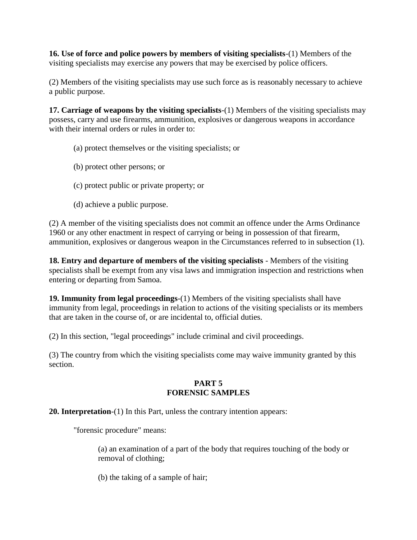**16. Use of force and police powers by members of visiting specialists**-(1) Members of the visiting specialists may exercise any powers that may be exercised by police officers.

(2) Members of the visiting specialists may use such force as is reasonably necessary to achieve a public purpose.

**17. Carriage of weapons by the visiting specialists**-(1) Members of the visiting specialists may possess, carry and use firearms, ammunition, explosives or dangerous weapons in accordance with their internal orders or rules in order to:

- (a) protect themselves or the visiting specialists; or
- (b) protect other persons; or
- (c) protect public or private property; or
- (d) achieve a public purpose.

(2) A member of the visiting specialists does not commit an offence under the Arms Ordinance 1960 or any other enactment in respect of carrying or being in possession of that firearm, ammunition, explosives or dangerous weapon in the Circumstances referred to in subsection (1).

**18. Entry and departure of members of the visiting specialists** - Members of the visiting specialists shall be exempt from any visa laws and immigration inspection and restrictions when entering or departing from Samoa.

**19. Immunity from legal proceedings**-(1) Members of the visiting specialists shall have immunity from legal, proceedings in relation to actions of the visiting specialists or its members that are taken in the course of, or are incidental to, official duties.

(2) In this section, "legal proceedings" include criminal and civil proceedings.

(3) The country from which the visiting specialists come may waive immunity granted by this section.

### **PART 5 FORENSIC SAMPLES**

# **20. Interpretation**-(1) In this Part, unless the contrary intention appears:

"forensic procedure" means:

(a) an examination of a part of the body that requires touching of the body or removal of clothing;

(b) the taking of a sample of hair;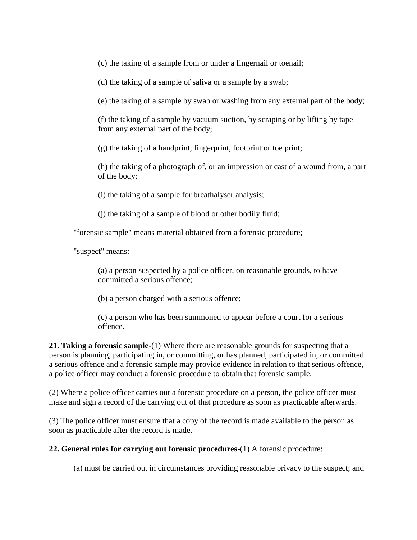(c) the taking of a sample from or under a fingernail or toenail;

(d) the taking of a sample of saliva or a sample by a swab;

(e) the taking of a sample by swab or washing from any external part of the body;

(f) the taking of a sample by vacuum suction, by scraping or by lifting by tape from any external part of the body;

(g) the taking of a handprint, fingerprint, footprint or toe print;

(h) the taking of a photograph of, or an impression or cast of a wound from, a part of the body;

(i) the taking of a sample for breathalyser analysis;

(j) the taking of a sample of blood or other bodily fluid;

"forensic sample" means material obtained from a forensic procedure;

"suspect" means:

(a) a person suspected by a police officer, on reasonable grounds, to have committed a serious offence;

(b) a person charged with a serious offence;

(c) a person who has been summoned to appear before a court for a serious offence.

**21. Taking a forensic sample**-(1) Where there are reasonable grounds for suspecting that a person is planning, participating in, or committing, or has planned, participated in, or committed a serious offence and a forensic sample may provide evidence in relation to that serious offence, a police officer may conduct a forensic procedure to obtain that forensic sample.

(2) Where a police officer carries out a forensic procedure on a person, the police officer must make and sign a record of the carrying out of that procedure as soon as practicable afterwards.

(3) The police officer must ensure that a copy of the record is made available to the person as soon as practicable after the record is made.

**22. General rules for carrying out forensic procedures**-(1) A forensic procedure:

(a) must be carried out in circumstances providing reasonable privacy to the suspect; and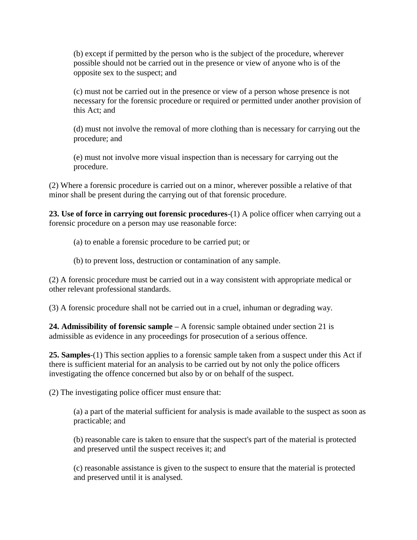(b) except if permitted by the person who is the subject of the procedure, wherever possible should not be carried out in the presence or view of anyone who is of the opposite sex to the suspect; and

(c) must not be carried out in the presence or view of a person whose presence is not necessary for the forensic procedure or required or permitted under another provision of this Act; and

(d) must not involve the removal of more clothing than is necessary for carrying out the procedure; and

(e) must not involve more visual inspection than is necessary for carrying out the procedure.

(2) Where a forensic procedure is carried out on a minor, wherever possible a relative of that minor shall be present during the carrying out of that forensic procedure.

**23. Use of force in carrying out forensic procedures**-(1) A police officer when carrying out a forensic procedure on a person may use reasonable force:

(a) to enable a forensic procedure to be carried put; or

(b) to prevent loss, destruction or contamination of any sample.

(2) A forensic procedure must be carried out in a way consistent with appropriate medical or other relevant professional standards.

(3) A forensic procedure shall not be carried out in a cruel, inhuman or degrading way.

**24. Admissibility of forensic sample –** A forensic sample obtained under section 21 is admissible as evidence in any proceedings for prosecution of a serious offence.

**25. Samples**-(1) This section applies to a forensic sample taken from a suspect under this Act if there is sufficient material for an analysis to be carried out by not only the police officers investigating the offence concerned but also by or on behalf of the suspect.

(2) The investigating police officer must ensure that:

(a) a part of the material sufficient for analysis is made available to the suspect as soon as practicable; and

(b) reasonable care is taken to ensure that the suspect's part of the material is protected and preserved until the suspect receives it; and

(c) reasonable assistance is given to the suspect to ensure that the material is protected and preserved until it is analysed.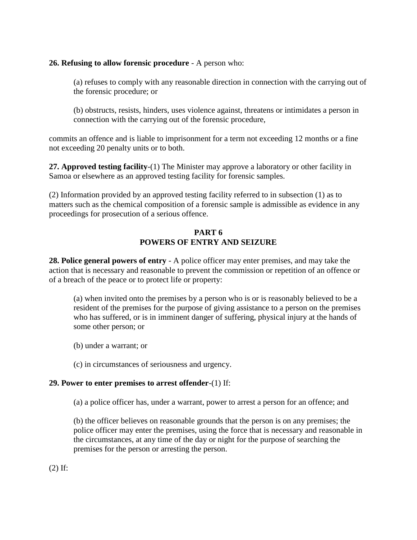## **26. Refusing to allow forensic procedure** - A person who:

(a) refuses to comply with any reasonable direction in connection with the carrying out of the forensic procedure; or

(b) obstructs, resists, hinders, uses violence against, threatens or intimidates a person in connection with the carrying out of the forensic procedure,

commits an offence and is liable to imprisonment for a term not exceeding 12 months or a fine not exceeding 20 penalty units or to both.

**27. Approved testing facility**-(1) The Minister may approve a laboratory or other facility in Samoa or elsewhere as an approved testing facility for forensic samples.

(2) Information provided by an approved testing facility referred to in subsection (1) as to matters such as the chemical composition of a forensic sample is admissible as evidence in any proceedings for prosecution of a serious offence.

# **PART 6 POWERS OF ENTRY AND SEIZURE**

**28. Police general powers of entry** - A police officer may enter premises, and may take the action that is necessary and reasonable to prevent the commission or repetition of an offence or of a breach of the peace or to protect life or property:

(a) when invited onto the premises by a person who is or is reasonably believed to be a resident of the premises for the purpose of giving assistance to a person on the premises who has suffered, or is in imminent danger of suffering, physical injury at the hands of some other person; or

- (b) under a warrant; or
- (c) in circumstances of seriousness and urgency.

# **29. Power to enter premises to arrest offender**-(1) If:

(a) a police officer has, under a warrant, power to arrest a person for an offence; and

(b) the officer believes on reasonable grounds that the person is on any premises; the police officer may enter the premises, using the force that is necessary and reasonable in the circumstances, at any time of the day or night for the purpose of searching the premises for the person or arresting the person.

(2) If: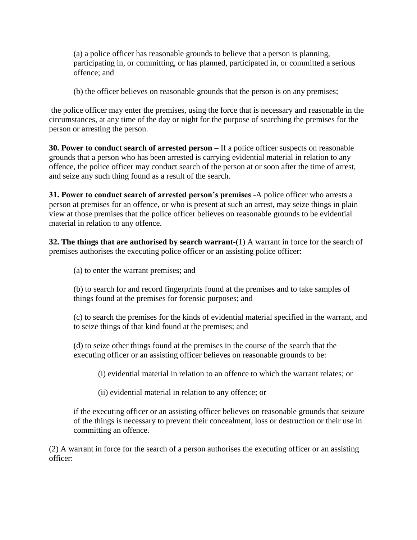(a) a police officer has reasonable grounds to believe that a person is planning, participating in, or committing, or has planned, participated in, or committed a serious offence; and

(b) the officer believes on reasonable grounds that the person is on any premises;

the police officer may enter the premises, using the force that is necessary and reasonable in the circumstances, at any time of the day or night for the purpose of searching the premises for the person or arresting the person.

**30. Power to conduct search of arrested person** – If a police officer suspects on reasonable grounds that a person who has been arrested is carrying evidential material in relation to any offence, the police officer may conduct search of the person at or soon after the time of arrest, and seize any such thing found as a result of the search.

**31. Power to conduct search of arrested person's premises** -A police officer who arrests a person at premises for an offence, or who is present at such an arrest, may seize things in plain view at those premises that the police officer believes on reasonable grounds to be evidential material in relation to any offence.

**32. The things that are authorised by search warrant**-(1) A warrant in force for the search of premises authorises the executing police officer or an assisting police officer:

(a) to enter the warrant premises; and

(b) to search for and record fingerprints found at the premises and to take samples of things found at the premises for forensic purposes; and

(c) to search the premises for the kinds of evidential material specified in the warrant, and to seize things of that kind found at the premises; and

(d) to seize other things found at the premises in the course of the search that the executing officer or an assisting officer believes on reasonable grounds to be:

(i) evidential material in relation to an offence to which the warrant relates; or

(ii) evidential material in relation to any offence; or

if the executing officer or an assisting officer believes on reasonable grounds that seizure of the things is necessary to prevent their concealment, loss or destruction or their use in committing an offence.

(2) A warrant in force for the search of a person authorises the executing officer or an assisting officer: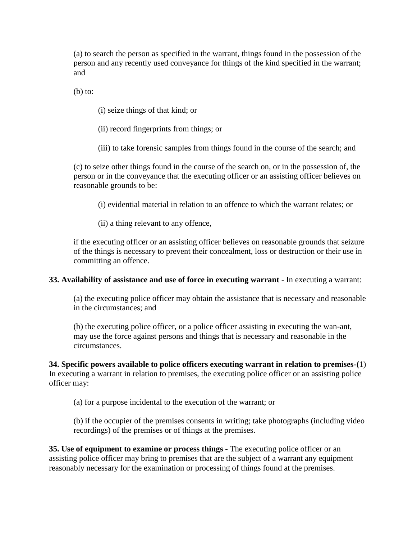(a) to search the person as specified in the warrant, things found in the possession of the person and any recently used conveyance for things of the kind specified in the warrant; and

 $(b)$  to:

(i) seize things of that kind; or

(ii) record fingerprints from things; or

(iii) to take forensic samples from things found in the course of the search; and

(c) to seize other things found in the course of the search on, or in the possession of, the person or in the conveyance that the executing officer or an assisting officer believes on reasonable grounds to be:

(i) evidential material in relation to an offence to which the warrant relates; or

(ii) a thing relevant to any offence,

if the executing officer or an assisting officer believes on reasonable grounds that seizure of the things is necessary to prevent their concealment, loss or destruction or their use in committing an offence.

### **33. Availability of assistance and use of force in executing warrant** - In executing a warrant:

(a) the executing police officer may obtain the assistance that is necessary and reasonable in the circumstances; and

(b) the executing police officer, or a police officer assisting in executing the wan-ant, may use the force against persons and things that is necessary and reasonable in the circumstances.

**34. Specific powers available to police officers executing warrant in relation to premises-(**1) In executing a warrant in relation to premises, the executing police officer or an assisting police officer may:

(a) for a purpose incidental to the execution of the warrant; or

(b) if the occupier of the premises consents in writing; take photographs (including video recordings) of the premises or of things at the premises.

**35. Use of equipment to examine or process things** - The executing police officer or an assisting police officer may bring to premises that are the subject of a warrant any equipment reasonably necessary for the examination or processing of things found at the premises.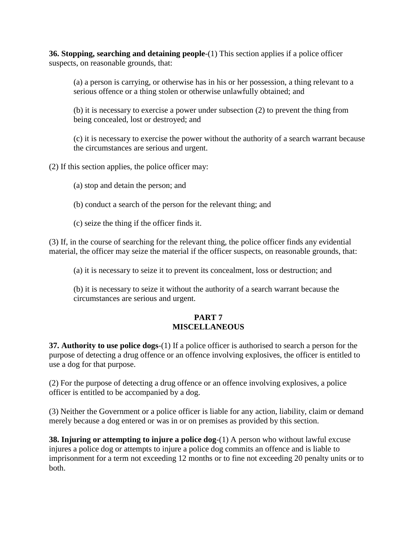**36. Stopping, searching and detaining people**-(1) This section applies if a police officer suspects, on reasonable grounds, that:

(a) a person is carrying, or otherwise has in his or her possession, a thing relevant to a serious offence or a thing stolen or otherwise unlawfully obtained; and

(b) it is necessary to exercise a power under subsection (2) to prevent the thing from being concealed, lost or destroyed; and

(c) it is necessary to exercise the power without the authority of a search warrant because the circumstances are serious and urgent.

(2) If this section applies, the police officer may:

- (a) stop and detain the person; and
- (b) conduct a search of the person for the relevant thing; and
- (c) seize the thing if the officer finds it.

(3) If, in the course of searching for the relevant thing, the police officer finds any evidential material, the officer may seize the material if the officer suspects, on reasonable grounds, that:

(a) it is necessary to seize it to prevent its concealment, loss or destruction; and

(b) it is necessary to seize it without the authority of a search warrant because the circumstances are serious and urgent.

## **PART 7 MISCELLANEOUS**

**37. Authority to use police dogs**-(1) If a police officer is authorised to search a person for the purpose of detecting a drug offence or an offence involving explosives, the officer is entitled to use a dog for that purpose.

(2) For the purpose of detecting a drug offence or an offence involving explosives, a police officer is entitled to be accompanied by a dog.

(3) Neither the Government or a police officer is liable for any action, liability, claim or demand merely because a dog entered or was in or on premises as provided by this section.

**38. Injuring or attempting to injure a police dog**-(1) A person who without lawful excuse injures a police dog or attempts to injure a police dog commits an offence and is liable to imprisonment for a term not exceeding 12 months or to fine not exceeding 20 penalty units or to both.